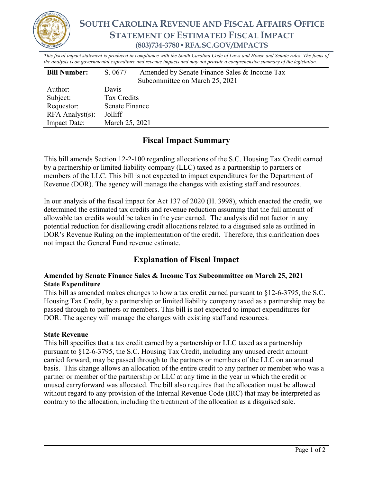

*This fiscal impact statement is produced in compliance with the South Carolina Code of Laws and House and Senate rules. The focus of the analysis is on governmental expenditure and revenue impacts and may not provide a comprehensive summary of the legislation.*

| <b>Bill Number:</b>   | Amended by Senate Finance Sales & Income Tax<br>S. 0677 |
|-----------------------|---------------------------------------------------------|
|                       | Subcommittee on March 25, 2021                          |
| Author:               | Davis                                                   |
| Subject:              | Tax Credits                                             |
| Requestor:            | Senate Finance                                          |
| $RFA$ Analyst $(s)$ : | Jolliff                                                 |
| <b>Impact Date:</b>   | March 25, 2021                                          |

## **Fiscal Impact Summary**

This bill amends Section 12-2-100 regarding allocations of the S.C. Housing Tax Credit earned by a partnership or limited liability company (LLC) taxed as a partnership to partners or members of the LLC. This bill is not expected to impact expenditures for the Department of Revenue (DOR). The agency will manage the changes with existing staff and resources.

In our analysis of the fiscal impact for Act 137 of 2020 (H. 3998), which enacted the credit, we determined the estimated tax credits and revenue reduction assuming that the full amount of allowable tax credits would be taken in the year earned. The analysis did not factor in any potential reduction for disallowing credit allocations related to a disguised sale as outlined in DOR's Revenue Ruling on the implementation of the credit. Therefore, this clarification does not impact the General Fund revenue estimate.

# **Explanation of Fiscal Impact**

#### **Amended by Senate Finance Sales & Income Tax Subcommittee on March 25, 2021 State Expenditure**

This bill as amended makes changes to how a tax credit earned pursuant to §12-6-3795, the S.C. Housing Tax Credit, by a partnership or limited liability company taxed as a partnership may be passed through to partners or members. This bill is not expected to impact expenditures for DOR. The agency will manage the changes with existing staff and resources.

### **State Revenue**

This bill specifies that a tax credit earned by a partnership or LLC taxed as a partnership pursuant to §12-6-3795, the S.C. Housing Tax Credit, including any unused credit amount carried forward, may be passed through to the partners or members of the LLC on an annual basis. This change allows an allocation of the entire credit to any partner or member who was a partner or member of the partnership or LLC at any time in the year in which the credit or unused carryforward was allocated. The bill also requires that the allocation must be allowed without regard to any provision of the Internal Revenue Code (IRC) that may be interpreted as contrary to the allocation, including the treatment of the allocation as a disguised sale.